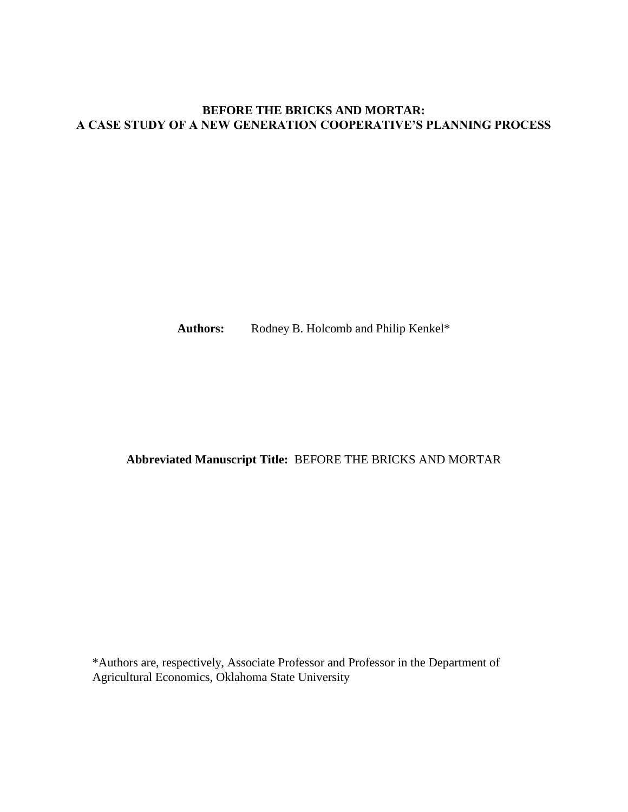## **BEFORE THE BRICKS AND MORTAR: A CASE STUDY OF A NEW GENERATION COOPERATIVE'S PLANNING PROCESS**

Authors: Rodney B. Holcomb and Philip Kenkel\*

# **Abbreviated Manuscript Title:** BEFORE THE BRICKS AND MORTAR

\*Authors are, respectively, Associate Professor and Professor in the Department of Agricultural Economics, Oklahoma State University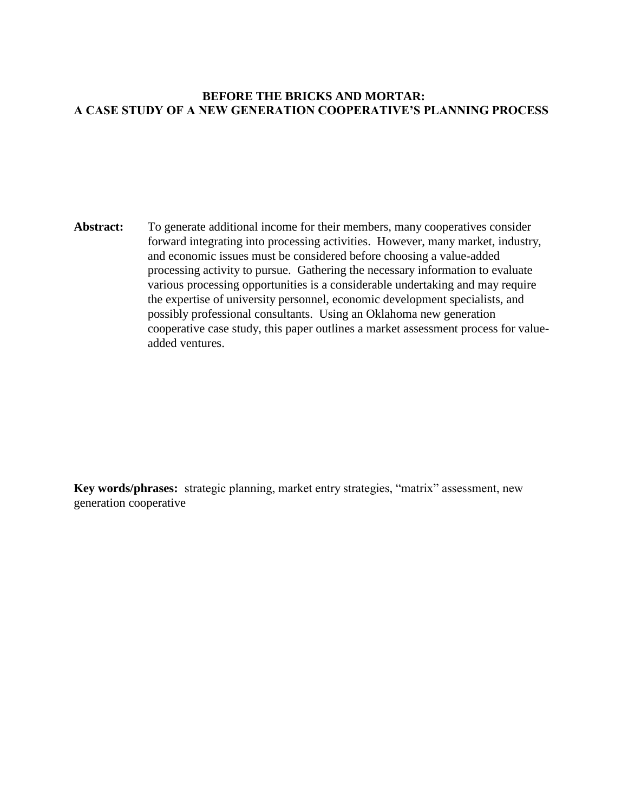## **BEFORE THE BRICKS AND MORTAR: A CASE STUDY OF A NEW GENERATION COOPERATIVE'S PLANNING PROCESS**

Abstract: To generate additional income for their members, many cooperatives consider forward integrating into processing activities. However, many market, industry, and economic issues must be considered before choosing a value-added processing activity to pursue. Gathering the necessary information to evaluate various processing opportunities is a considerable undertaking and may require the expertise of university personnel, economic development specialists, and possibly professional consultants. Using an Oklahoma new generation cooperative case study, this paper outlines a market assessment process for valueadded ventures.

**Key words/phrases:** strategic planning, market entry strategies, "matrix" assessment, new generation cooperative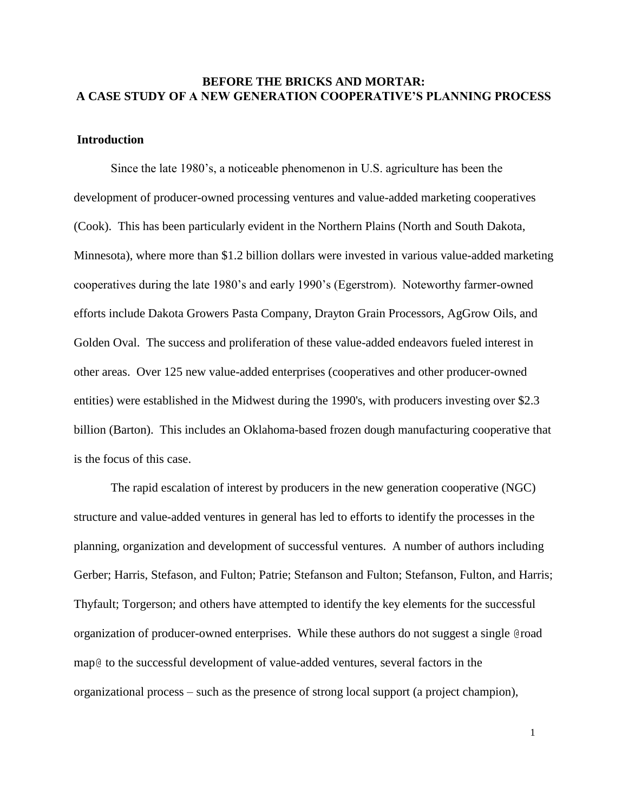## **BEFORE THE BRICKS AND MORTAR: A CASE STUDY OF A NEW GENERATION COOPERATIVE'S PLANNING PROCESS**

#### **Introduction**

Since the late 1980's, a noticeable phenomenon in U.S. agriculture has been the development of producer-owned processing ventures and value-added marketing cooperatives (Cook). This has been particularly evident in the Northern Plains (North and South Dakota, Minnesota), where more than \$1.2 billion dollars were invested in various value-added marketing cooperatives during the late 1980's and early 1990's (Egerstrom). Noteworthy farmer-owned efforts include Dakota Growers Pasta Company, Drayton Grain Processors, AgGrow Oils, and Golden Oval. The success and proliferation of these value-added endeavors fueled interest in other areas. Over 125 new value-added enterprises (cooperatives and other producer-owned entities) were established in the Midwest during the 1990's, with producers investing over \$2.3 billion (Barton). This includes an Oklahoma-based frozen dough manufacturing cooperative that is the focus of this case.

The rapid escalation of interest by producers in the new generation cooperative (NGC) structure and value-added ventures in general has led to efforts to identify the processes in the planning, organization and development of successful ventures. A number of authors including Gerber; Harris, Stefason, and Fulton; Patrie; Stefanson and Fulton; Stefanson, Fulton, and Harris; Thyfault; Torgerson; and others have attempted to identify the key elements for the successful organization of producer-owned enterprises. While these authors do not suggest a single @road map@ to the successful development of value-added ventures, several factors in the organizational process – such as the presence of strong local support (a project champion),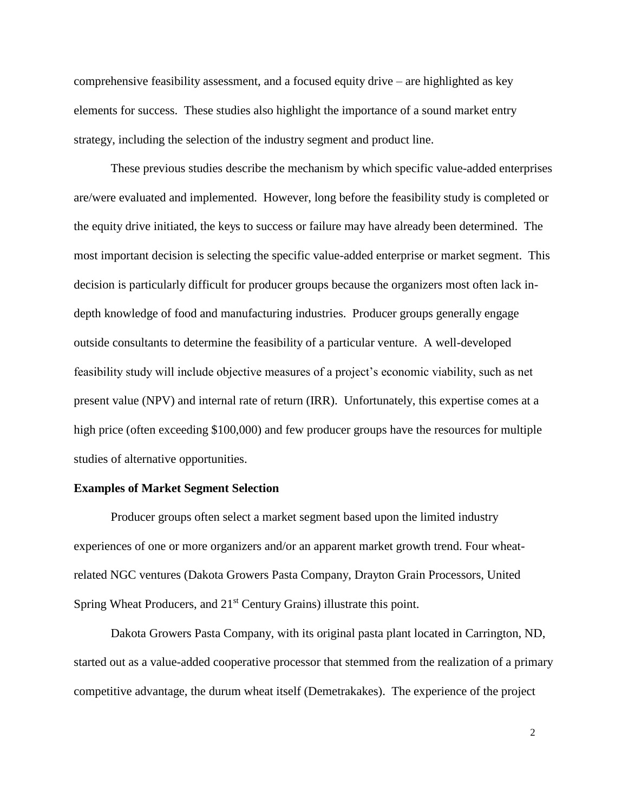comprehensive feasibility assessment, and a focused equity drive – are highlighted as key elements for success. These studies also highlight the importance of a sound market entry strategy, including the selection of the industry segment and product line.

These previous studies describe the mechanism by which specific value-added enterprises are/were evaluated and implemented. However, long before the feasibility study is completed or the equity drive initiated, the keys to success or failure may have already been determined. The most important decision is selecting the specific value-added enterprise or market segment. This decision is particularly difficult for producer groups because the organizers most often lack indepth knowledge of food and manufacturing industries. Producer groups generally engage outside consultants to determine the feasibility of a particular venture. A well-developed feasibility study will include objective measures of a project's economic viability, such as net present value (NPV) and internal rate of return (IRR). Unfortunately, this expertise comes at a high price (often exceeding \$100,000) and few producer groups have the resources for multiple studies of alternative opportunities.

#### **Examples of Market Segment Selection**

Producer groups often select a market segment based upon the limited industry experiences of one or more organizers and/or an apparent market growth trend. Four wheatrelated NGC ventures (Dakota Growers Pasta Company, Drayton Grain Processors, United Spring Wheat Producers, and 21<sup>st</sup> Century Grains) illustrate this point.

Dakota Growers Pasta Company, with its original pasta plant located in Carrington, ND, started out as a value-added cooperative processor that stemmed from the realization of a primary competitive advantage, the durum wheat itself (Demetrakakes). The experience of the project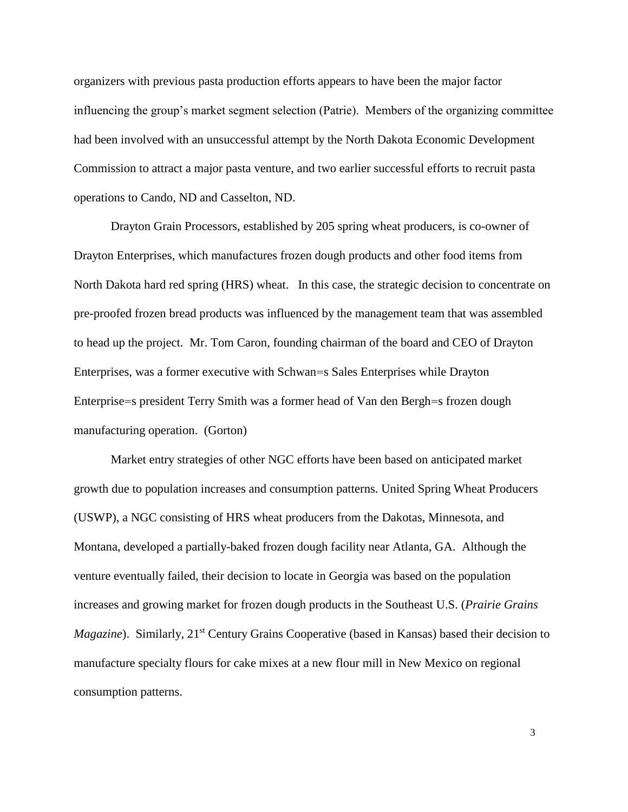organizers with previous pasta production efforts appears to have been the major factor influencing the group's market segment selection (Patrie). Members of the organizing committee had been involved with an unsuccessful attempt by the North Dakota Economic Development Commission to attract a major pasta venture, and two earlier successful efforts to recruit pasta operations to Cando, ND and Casselton, ND.

Drayton Grain Processors, established by 205 spring wheat producers, is co-owner of Drayton Enterprises, which manufactures frozen dough products and other food items from North Dakota hard red spring (HRS) wheat. In this case, the strategic decision to concentrate on pre-proofed frozen bread products was influenced by the management team that was assembled to head up the project. Mr. Tom Caron, founding chairman of the board and CEO of Drayton Enterprises, was a former executive with Schwan=s Sales Enterprises while Drayton Enterprise=s president Terry Smith was a former head of Van den Bergh=s frozen dough manufacturing operation. (Gorton)

Market entry strategies of other NGC efforts have been based on anticipated market growth due to population increases and consumption patterns. United Spring Wheat Producers (USWP), a NGC consisting of HRS wheat producers from the Dakotas, Minnesota, and Montana, developed a partially-baked frozen dough facility near Atlanta, GA. Although the venture eventually failed, their decision to locate in Georgia was based on the population increases and growing market for frozen dough products in the Southeast U.S. (*Prairie Grains Magazine*). Similarly, 21<sup>st</sup> Century Grains Cooperative (based in Kansas) based their decision to manufacture specialty flours for cake mixes at a new flour mill in New Mexico on regional consumption patterns.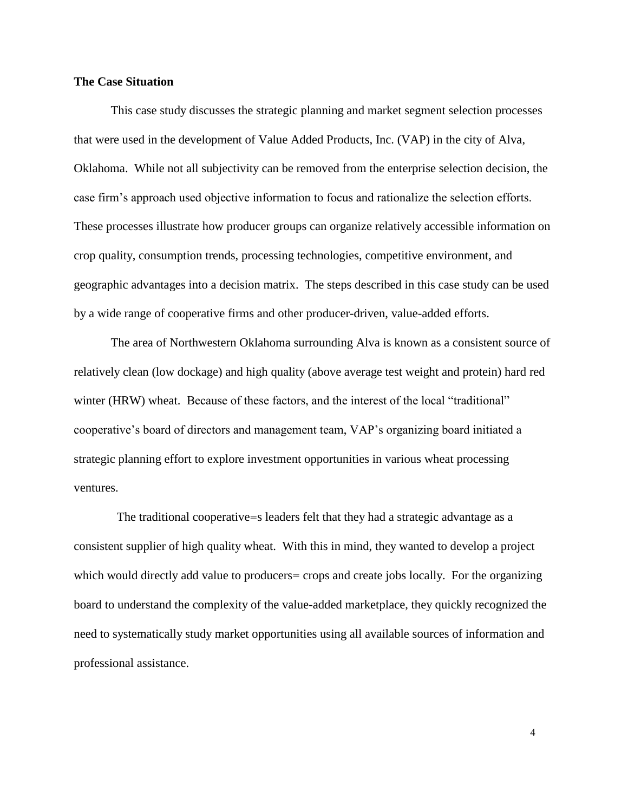#### **The Case Situation**

This case study discusses the strategic planning and market segment selection processes that were used in the development of Value Added Products, Inc. (VAP) in the city of Alva, Oklahoma. While not all subjectivity can be removed from the enterprise selection decision, the case firm's approach used objective information to focus and rationalize the selection efforts. These processes illustrate how producer groups can organize relatively accessible information on crop quality, consumption trends, processing technologies, competitive environment, and geographic advantages into a decision matrix. The steps described in this case study can be used by a wide range of cooperative firms and other producer-driven, value-added efforts.

The area of Northwestern Oklahoma surrounding Alva is known as a consistent source of relatively clean (low dockage) and high quality (above average test weight and protein) hard red winter (HRW) wheat. Because of these factors, and the interest of the local "traditional" cooperative's board of directors and management team, VAP's organizing board initiated a strategic planning effort to explore investment opportunities in various wheat processing ventures.

 The traditional cooperative=s leaders felt that they had a strategic advantage as a consistent supplier of high quality wheat. With this in mind, they wanted to develop a project which would directly add value to producers= crops and create jobs locally. For the organizing board to understand the complexity of the value-added marketplace, they quickly recognized the need to systematically study market opportunities using all available sources of information and professional assistance.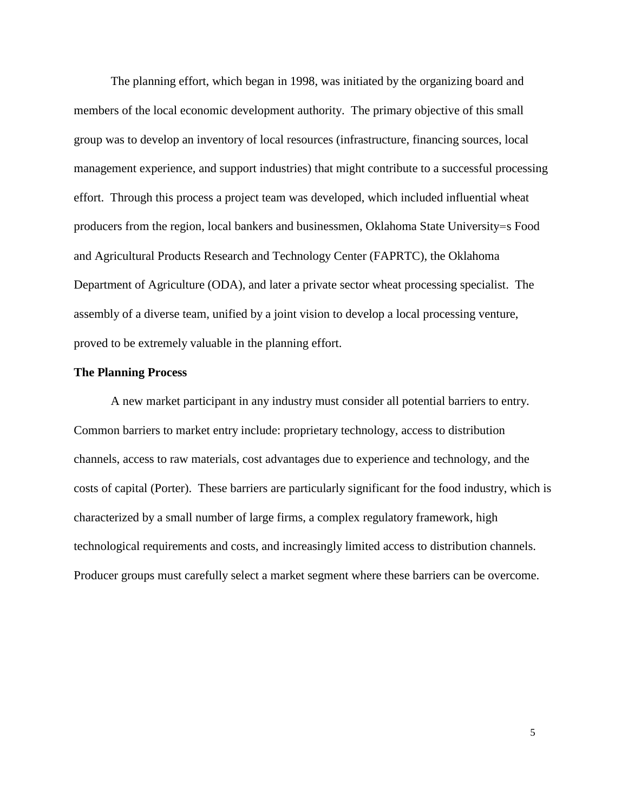The planning effort, which began in 1998, was initiated by the organizing board and members of the local economic development authority. The primary objective of this small group was to develop an inventory of local resources (infrastructure, financing sources, local management experience, and support industries) that might contribute to a successful processing effort. Through this process a project team was developed, which included influential wheat producers from the region, local bankers and businessmen, Oklahoma State University=s Food and Agricultural Products Research and Technology Center (FAPRTC), the Oklahoma Department of Agriculture (ODA), and later a private sector wheat processing specialist. The assembly of a diverse team, unified by a joint vision to develop a local processing venture, proved to be extremely valuable in the planning effort.

## **The Planning Process**

A new market participant in any industry must consider all potential barriers to entry. Common barriers to market entry include: proprietary technology, access to distribution channels, access to raw materials, cost advantages due to experience and technology, and the costs of capital (Porter). These barriers are particularly significant for the food industry, which is characterized by a small number of large firms, a complex regulatory framework, high technological requirements and costs, and increasingly limited access to distribution channels. Producer groups must carefully select a market segment where these barriers can be overcome.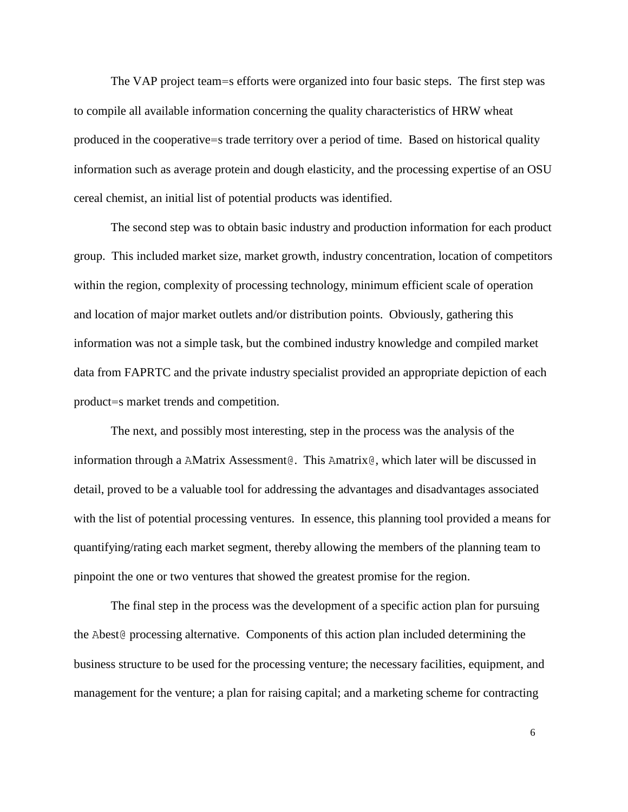The VAP project team=s efforts were organized into four basic steps. The first step was to compile all available information concerning the quality characteristics of HRW wheat produced in the cooperative=s trade territory over a period of time. Based on historical quality information such as average protein and dough elasticity, and the processing expertise of an OSU cereal chemist, an initial list of potential products was identified.

The second step was to obtain basic industry and production information for each product group. This included market size, market growth, industry concentration, location of competitors within the region, complexity of processing technology, minimum efficient scale of operation and location of major market outlets and/or distribution points. Obviously, gathering this information was not a simple task, but the combined industry knowledge and compiled market data from FAPRTC and the private industry specialist provided an appropriate depiction of each product=s market trends and competition.

The next, and possibly most interesting, step in the process was the analysis of the information through a AMatrix Assessment@. This Amatrix@, which later will be discussed in detail, proved to be a valuable tool for addressing the advantages and disadvantages associated with the list of potential processing ventures. In essence, this planning tool provided a means for quantifying/rating each market segment, thereby allowing the members of the planning team to pinpoint the one or two ventures that showed the greatest promise for the region.

The final step in the process was the development of a specific action plan for pursuing the Abest@ processing alternative. Components of this action plan included determining the business structure to be used for the processing venture; the necessary facilities, equipment, and management for the venture; a plan for raising capital; and a marketing scheme for contracting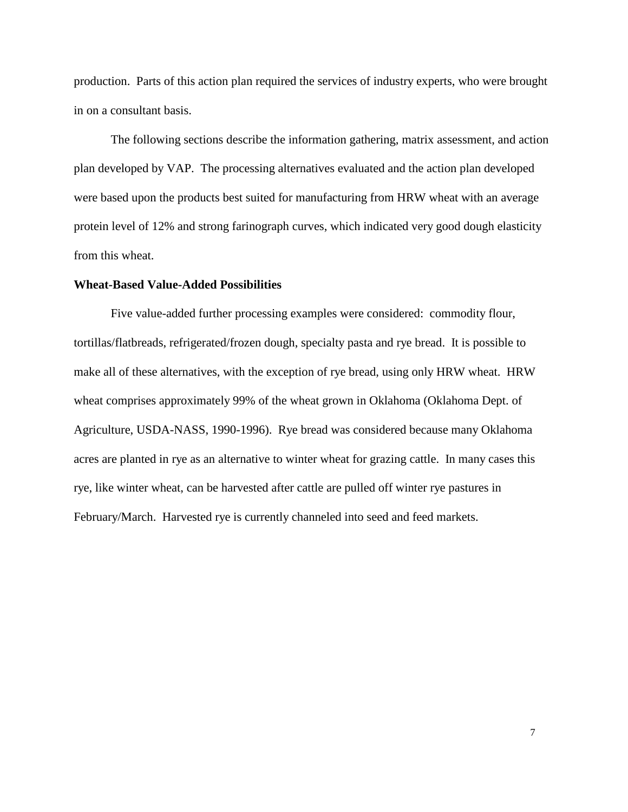production. Parts of this action plan required the services of industry experts, who were brought in on a consultant basis.

The following sections describe the information gathering, matrix assessment, and action plan developed by VAP. The processing alternatives evaluated and the action plan developed were based upon the products best suited for manufacturing from HRW wheat with an average protein level of 12% and strong farinograph curves, which indicated very good dough elasticity from this wheat.

#### **Wheat-Based Value-Added Possibilities**

Five value-added further processing examples were considered: commodity flour, tortillas/flatbreads, refrigerated/frozen dough, specialty pasta and rye bread. It is possible to make all of these alternatives, with the exception of rye bread, using only HRW wheat. HRW wheat comprises approximately 99% of the wheat grown in Oklahoma (Oklahoma Dept. of Agriculture, USDA-NASS, 1990-1996). Rye bread was considered because many Oklahoma acres are planted in rye as an alternative to winter wheat for grazing cattle. In many cases this rye, like winter wheat, can be harvested after cattle are pulled off winter rye pastures in February/March. Harvested rye is currently channeled into seed and feed markets.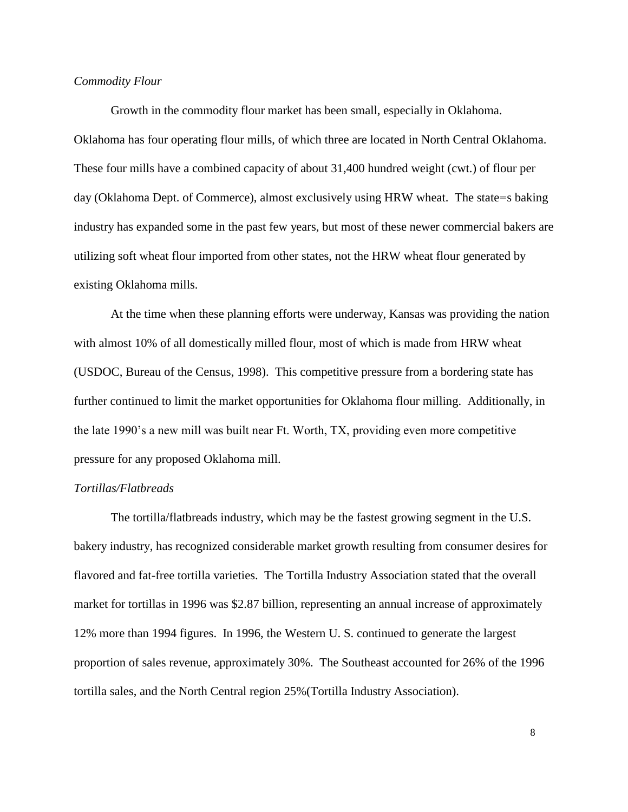### *Commodity Flour*

Growth in the commodity flour market has been small, especially in Oklahoma. Oklahoma has four operating flour mills, of which three are located in North Central Oklahoma. These four mills have a combined capacity of about 31,400 hundred weight (cwt.) of flour per day (Oklahoma Dept. of Commerce), almost exclusively using HRW wheat. The state=s baking industry has expanded some in the past few years, but most of these newer commercial bakers are utilizing soft wheat flour imported from other states, not the HRW wheat flour generated by existing Oklahoma mills.

At the time when these planning efforts were underway, Kansas was providing the nation with almost 10% of all domestically milled flour, most of which is made from HRW wheat (USDOC, Bureau of the Census, 1998). This competitive pressure from a bordering state has further continued to limit the market opportunities for Oklahoma flour milling. Additionally, in the late 1990's a new mill was built near Ft. Worth, TX, providing even more competitive pressure for any proposed Oklahoma mill.

#### *Tortillas/Flatbreads*

The tortilla/flatbreads industry, which may be the fastest growing segment in the U.S. bakery industry, has recognized considerable market growth resulting from consumer desires for flavored and fat-free tortilla varieties. The Tortilla Industry Association stated that the overall market for tortillas in 1996 was \$2.87 billion, representing an annual increase of approximately 12% more than 1994 figures. In 1996, the Western U. S. continued to generate the largest proportion of sales revenue, approximately 30%. The Southeast accounted for 26% of the 1996 tortilla sales, and the North Central region 25%(Tortilla Industry Association).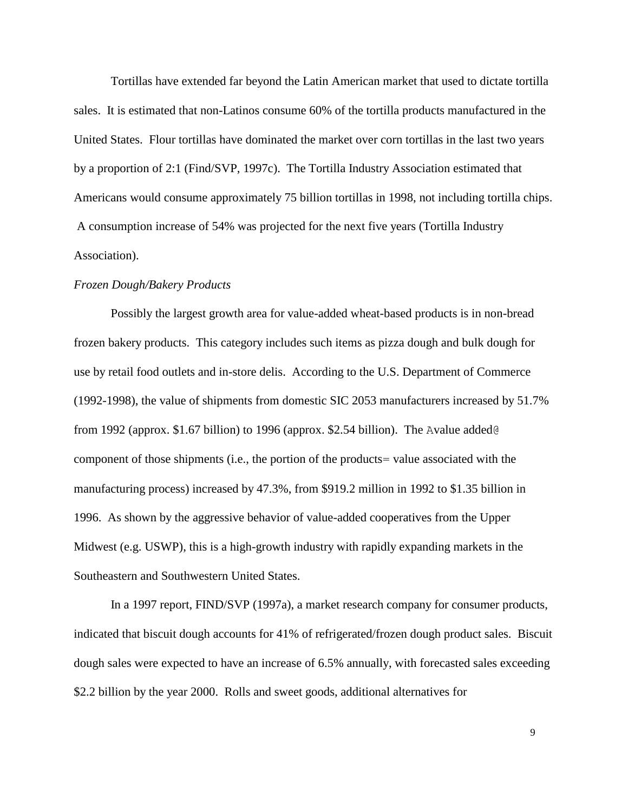Tortillas have extended far beyond the Latin American market that used to dictate tortilla sales. It is estimated that non-Latinos consume 60% of the tortilla products manufactured in the United States. Flour tortillas have dominated the market over corn tortillas in the last two years by a proportion of 2:1 (Find/SVP, 1997c). The Tortilla Industry Association estimated that Americans would consume approximately 75 billion tortillas in 1998, not including tortilla chips. A consumption increase of 54% was projected for the next five years (Tortilla Industry Association).

#### *Frozen Dough/Bakery Products*

Possibly the largest growth area for value-added wheat-based products is in non-bread frozen bakery products. This category includes such items as pizza dough and bulk dough for use by retail food outlets and in-store delis. According to the U.S. Department of Commerce (1992-1998), the value of shipments from domestic SIC 2053 manufacturers increased by 51.7% from 1992 (approx. \$1.67 billion) to 1996 (approx. \$2.54 billion). The Avalue added@ component of those shipments (i.e., the portion of the products= value associated with the manufacturing process) increased by 47.3%, from \$919.2 million in 1992 to \$1.35 billion in 1996. As shown by the aggressive behavior of value-added cooperatives from the Upper Midwest (e.g. USWP), this is a high-growth industry with rapidly expanding markets in the Southeastern and Southwestern United States.

In a 1997 report, FIND/SVP (1997a), a market research company for consumer products, indicated that biscuit dough accounts for 41% of refrigerated/frozen dough product sales. Biscuit dough sales were expected to have an increase of 6.5% annually, with forecasted sales exceeding \$2.2 billion by the year 2000. Rolls and sweet goods, additional alternatives for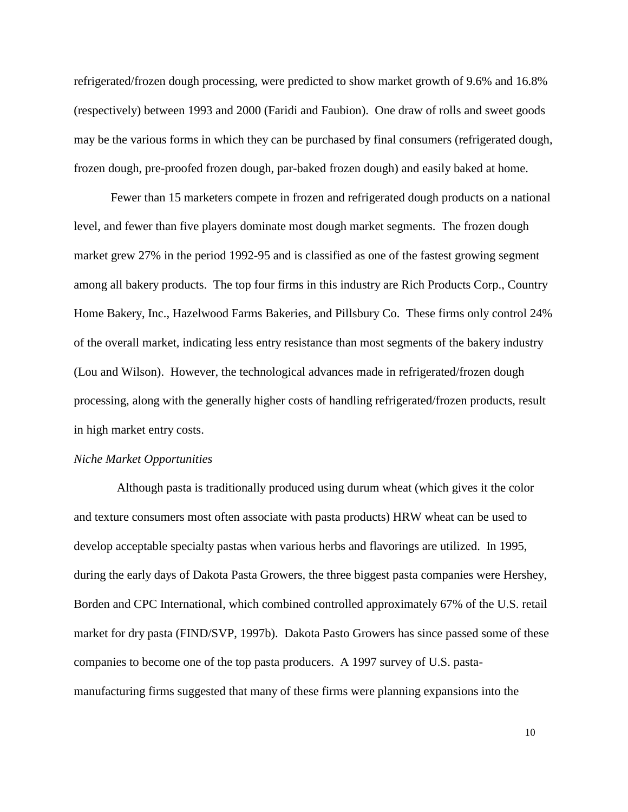refrigerated/frozen dough processing, were predicted to show market growth of 9.6% and 16.8% (respectively) between 1993 and 2000 (Faridi and Faubion). One draw of rolls and sweet goods may be the various forms in which they can be purchased by final consumers (refrigerated dough, frozen dough, pre-proofed frozen dough, par-baked frozen dough) and easily baked at home.

Fewer than 15 marketers compete in frozen and refrigerated dough products on a national level, and fewer than five players dominate most dough market segments. The frozen dough market grew 27% in the period 1992-95 and is classified as one of the fastest growing segment among all bakery products. The top four firms in this industry are Rich Products Corp., Country Home Bakery, Inc., Hazelwood Farms Bakeries, and Pillsbury Co. These firms only control 24% of the overall market, indicating less entry resistance than most segments of the bakery industry (Lou and Wilson). However, the technological advances made in refrigerated/frozen dough processing, along with the generally higher costs of handling refrigerated/frozen products, result in high market entry costs.

#### *Niche Market Opportunities*

 Although pasta is traditionally produced using durum wheat (which gives it the color and texture consumers most often associate with pasta products) HRW wheat can be used to develop acceptable specialty pastas when various herbs and flavorings are utilized. In 1995, during the early days of Dakota Pasta Growers, the three biggest pasta companies were Hershey, Borden and CPC International, which combined controlled approximately 67% of the U.S. retail market for dry pasta (FIND/SVP, 1997b). Dakota Pasto Growers has since passed some of these companies to become one of the top pasta producers. A 1997 survey of U.S. pastamanufacturing firms suggested that many of these firms were planning expansions into the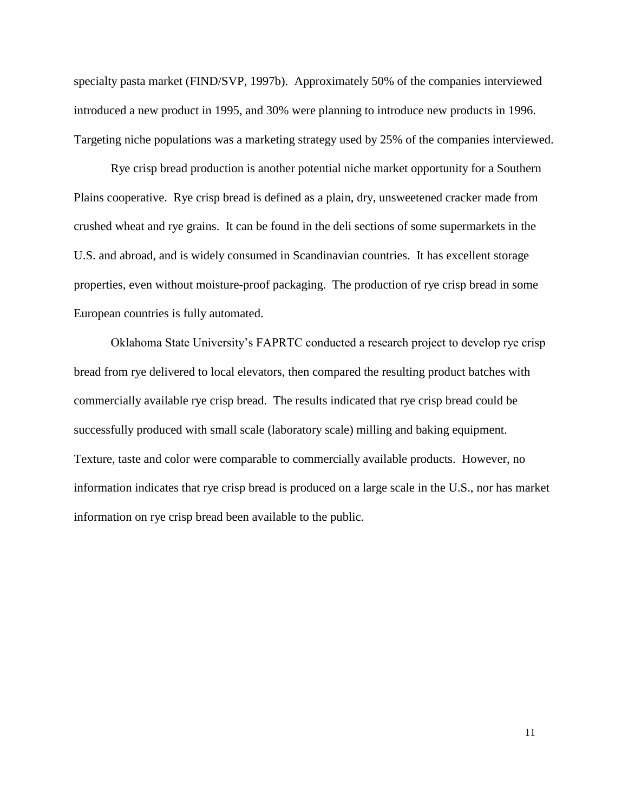specialty pasta market (FIND/SVP, 1997b). Approximately 50% of the companies interviewed introduced a new product in 1995, and 30% were planning to introduce new products in 1996. Targeting niche populations was a marketing strategy used by 25% of the companies interviewed.

Rye crisp bread production is another potential niche market opportunity for a Southern Plains cooperative. Rye crisp bread is defined as a plain, dry, unsweetened cracker made from crushed wheat and rye grains. It can be found in the deli sections of some supermarkets in the U.S. and abroad, and is widely consumed in Scandinavian countries. It has excellent storage properties, even without moisture-proof packaging. The production of rye crisp bread in some European countries is fully automated.

Oklahoma State University's FAPRTC conducted a research project to develop rye crisp bread from rye delivered to local elevators, then compared the resulting product batches with commercially available rye crisp bread. The results indicated that rye crisp bread could be successfully produced with small scale (laboratory scale) milling and baking equipment. Texture, taste and color were comparable to commercially available products. However, no information indicates that rye crisp bread is produced on a large scale in the U.S., nor has market information on rye crisp bread been available to the public.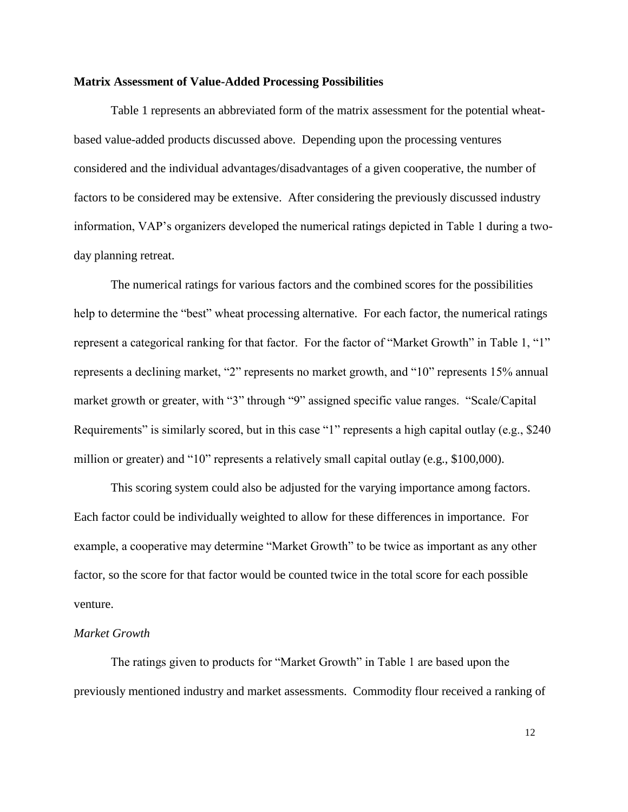#### **Matrix Assessment of Value-Added Processing Possibilities**

Table 1 represents an abbreviated form of the matrix assessment for the potential wheatbased value-added products discussed above. Depending upon the processing ventures considered and the individual advantages/disadvantages of a given cooperative, the number of factors to be considered may be extensive. After considering the previously discussed industry information, VAP's organizers developed the numerical ratings depicted in Table 1 during a twoday planning retreat.

The numerical ratings for various factors and the combined scores for the possibilities help to determine the "best" wheat processing alternative. For each factor, the numerical ratings represent a categorical ranking for that factor. For the factor of "Market Growth" in Table 1, "1" represents a declining market, "2" represents no market growth, and "10" represents 15% annual market growth or greater, with "3" through "9" assigned specific value ranges. "Scale/Capital Requirements" is similarly scored, but in this case "1" represents a high capital outlay (e.g., \$240) million or greater) and "10" represents a relatively small capital outlay (e.g., \$100,000).

This scoring system could also be adjusted for the varying importance among factors. Each factor could be individually weighted to allow for these differences in importance. For example, a cooperative may determine "Market Growth" to be twice as important as any other factor, so the score for that factor would be counted twice in the total score for each possible venture.

#### *Market Growth*

The ratings given to products for "Market Growth" in Table 1 are based upon the previously mentioned industry and market assessments. Commodity flour received a ranking of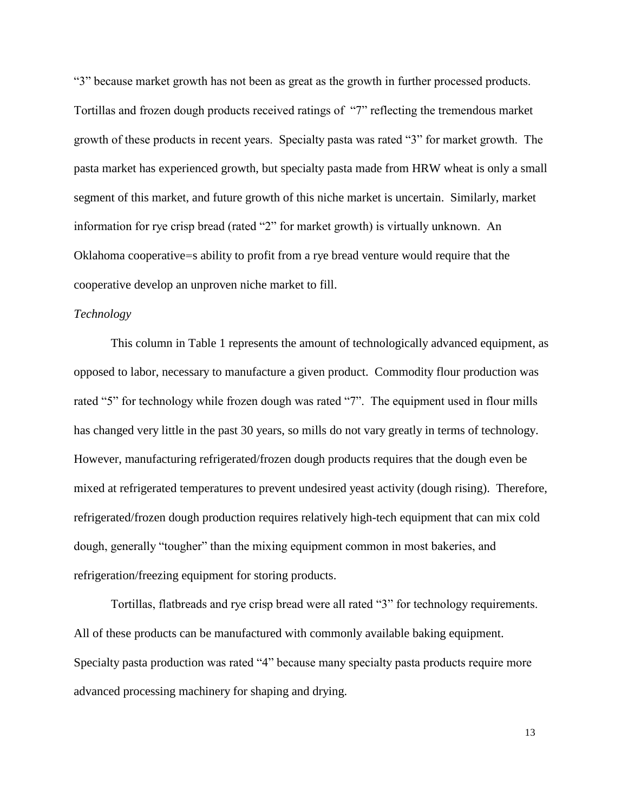"3" because market growth has not been as great as the growth in further processed products. Tortillas and frozen dough products received ratings of "7" reflecting the tremendous market growth of these products in recent years. Specialty pasta was rated "3" for market growth. The pasta market has experienced growth, but specialty pasta made from HRW wheat is only a small segment of this market, and future growth of this niche market is uncertain. Similarly, market information for rye crisp bread (rated "2" for market growth) is virtually unknown. An Oklahoma cooperative=s ability to profit from a rye bread venture would require that the cooperative develop an unproven niche market to fill.

#### *Technology*

This column in Table 1 represents the amount of technologically advanced equipment, as opposed to labor, necessary to manufacture a given product. Commodity flour production was rated "5" for technology while frozen dough was rated "7". The equipment used in flour mills has changed very little in the past 30 years, so mills do not vary greatly in terms of technology. However, manufacturing refrigerated/frozen dough products requires that the dough even be mixed at refrigerated temperatures to prevent undesired yeast activity (dough rising). Therefore, refrigerated/frozen dough production requires relatively high-tech equipment that can mix cold dough, generally "tougher" than the mixing equipment common in most bakeries, and refrigeration/freezing equipment for storing products.

Tortillas, flatbreads and rye crisp bread were all rated "3" for technology requirements. All of these products can be manufactured with commonly available baking equipment. Specialty pasta production was rated "4" because many specialty pasta products require more advanced processing machinery for shaping and drying.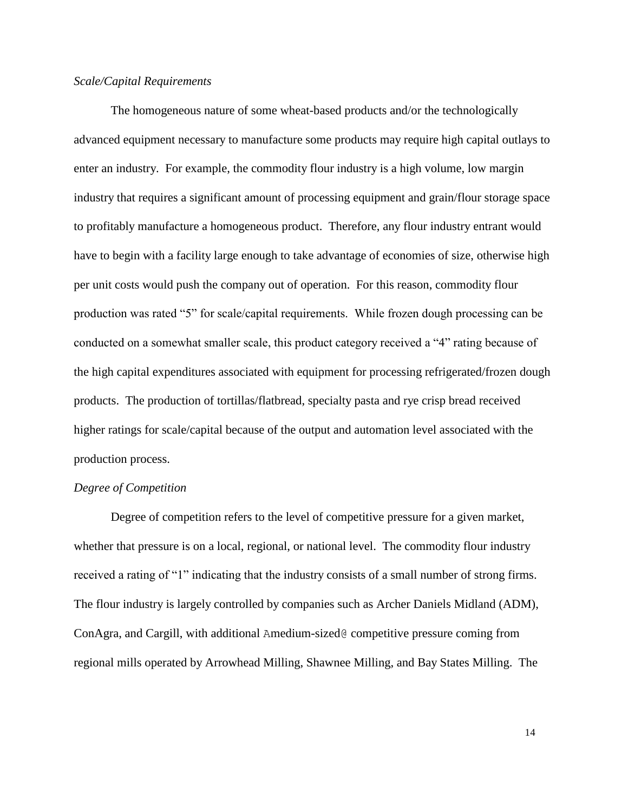### *Scale/Capital Requirements*

The homogeneous nature of some wheat-based products and/or the technologically advanced equipment necessary to manufacture some products may require high capital outlays to enter an industry. For example, the commodity flour industry is a high volume, low margin industry that requires a significant amount of processing equipment and grain/flour storage space to profitably manufacture a homogeneous product. Therefore, any flour industry entrant would have to begin with a facility large enough to take advantage of economies of size, otherwise high per unit costs would push the company out of operation. For this reason, commodity flour production was rated "5" for scale/capital requirements. While frozen dough processing can be conducted on a somewhat smaller scale, this product category received a "4" rating because of the high capital expenditures associated with equipment for processing refrigerated/frozen dough products. The production of tortillas/flatbread, specialty pasta and rye crisp bread received higher ratings for scale/capital because of the output and automation level associated with the production process.

#### *Degree of Competition*

Degree of competition refers to the level of competitive pressure for a given market, whether that pressure is on a local, regional, or national level. The commodity flour industry received a rating of "1" indicating that the industry consists of a small number of strong firms. The flour industry is largely controlled by companies such as Archer Daniels Midland (ADM), ConAgra, and Cargill, with additional Amedium-sized@ competitive pressure coming from regional mills operated by Arrowhead Milling, Shawnee Milling, and Bay States Milling. The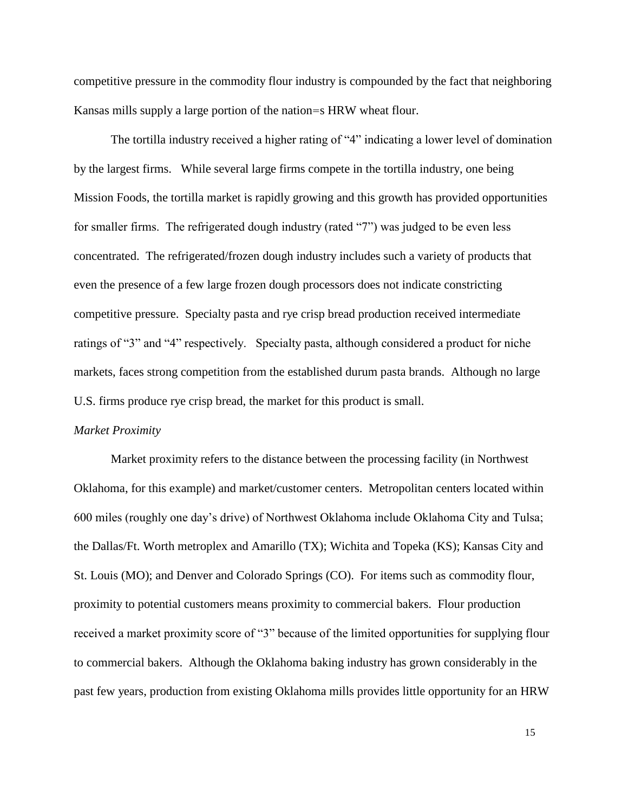competitive pressure in the commodity flour industry is compounded by the fact that neighboring Kansas mills supply a large portion of the nation=s HRW wheat flour.

The tortilla industry received a higher rating of "4" indicating a lower level of domination by the largest firms. While several large firms compete in the tortilla industry, one being Mission Foods, the tortilla market is rapidly growing and this growth has provided opportunities for smaller firms. The refrigerated dough industry (rated "7") was judged to be even less concentrated. The refrigerated/frozen dough industry includes such a variety of products that even the presence of a few large frozen dough processors does not indicate constricting competitive pressure. Specialty pasta and rye crisp bread production received intermediate ratings of "3" and "4" respectively. Specialty pasta, although considered a product for niche markets, faces strong competition from the established durum pasta brands. Although no large U.S. firms produce rye crisp bread, the market for this product is small.

#### *Market Proximity*

Market proximity refers to the distance between the processing facility (in Northwest Oklahoma, for this example) and market/customer centers. Metropolitan centers located within 600 miles (roughly one day's drive) of Northwest Oklahoma include Oklahoma City and Tulsa; the Dallas/Ft. Worth metroplex and Amarillo (TX); Wichita and Topeka (KS); Kansas City and St. Louis (MO); and Denver and Colorado Springs (CO). For items such as commodity flour, proximity to potential customers means proximity to commercial bakers. Flour production received a market proximity score of "3" because of the limited opportunities for supplying flour to commercial bakers. Although the Oklahoma baking industry has grown considerably in the past few years, production from existing Oklahoma mills provides little opportunity for an HRW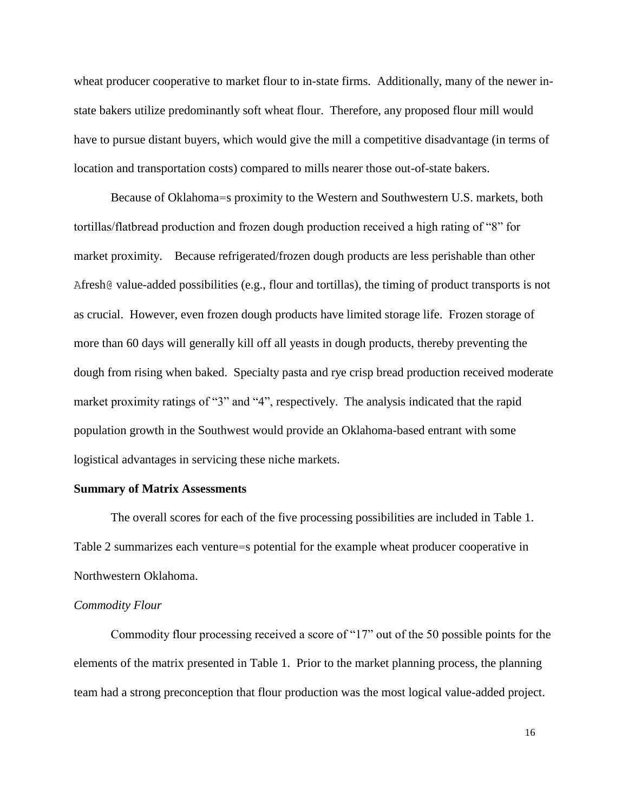wheat producer cooperative to market flour to in-state firms. Additionally, many of the newer instate bakers utilize predominantly soft wheat flour. Therefore, any proposed flour mill would have to pursue distant buyers, which would give the mill a competitive disadvantage (in terms of location and transportation costs) compared to mills nearer those out-of-state bakers.

Because of Oklahoma=s proximity to the Western and Southwestern U.S. markets, both tortillas/flatbread production and frozen dough production received a high rating of "8" for market proximity. Because refrigerated/frozen dough products are less perishable than other Afresh@ value-added possibilities (e.g., flour and tortillas), the timing of product transports is not as crucial. However, even frozen dough products have limited storage life. Frozen storage of more than 60 days will generally kill off all yeasts in dough products, thereby preventing the dough from rising when baked. Specialty pasta and rye crisp bread production received moderate market proximity ratings of "3" and "4", respectively. The analysis indicated that the rapid population growth in the Southwest would provide an Oklahoma-based entrant with some logistical advantages in servicing these niche markets.

#### **Summary of Matrix Assessments**

The overall scores for each of the five processing possibilities are included in Table 1. Table 2 summarizes each venture=s potential for the example wheat producer cooperative in Northwestern Oklahoma.

#### *Commodity Flour*

Commodity flour processing received a score of "17" out of the 50 possible points for the elements of the matrix presented in Table 1. Prior to the market planning process, the planning team had a strong preconception that flour production was the most logical value-added project.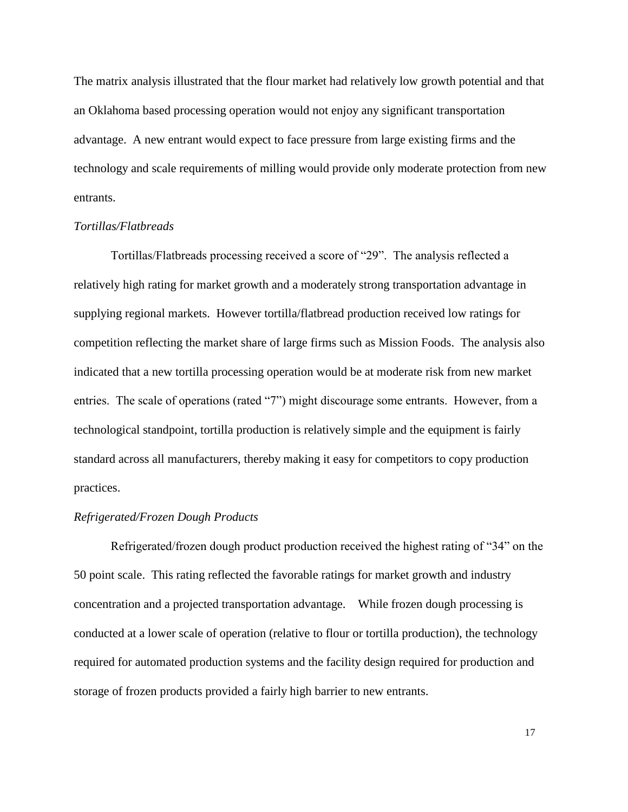The matrix analysis illustrated that the flour market had relatively low growth potential and that an Oklahoma based processing operation would not enjoy any significant transportation advantage. A new entrant would expect to face pressure from large existing firms and the technology and scale requirements of milling would provide only moderate protection from new entrants.

### *Tortillas/Flatbreads*

Tortillas/Flatbreads processing received a score of "29". The analysis reflected a relatively high rating for market growth and a moderately strong transportation advantage in supplying regional markets. However tortilla/flatbread production received low ratings for competition reflecting the market share of large firms such as Mission Foods. The analysis also indicated that a new tortilla processing operation would be at moderate risk from new market entries. The scale of operations (rated "7") might discourage some entrants. However, from a technological standpoint, tortilla production is relatively simple and the equipment is fairly standard across all manufacturers, thereby making it easy for competitors to copy production practices.

### *Refrigerated/Frozen Dough Products*

Refrigerated/frozen dough product production received the highest rating of "34" on the 50 point scale. This rating reflected the favorable ratings for market growth and industry concentration and a projected transportation advantage. While frozen dough processing is conducted at a lower scale of operation (relative to flour or tortilla production), the technology required for automated production systems and the facility design required for production and storage of frozen products provided a fairly high barrier to new entrants.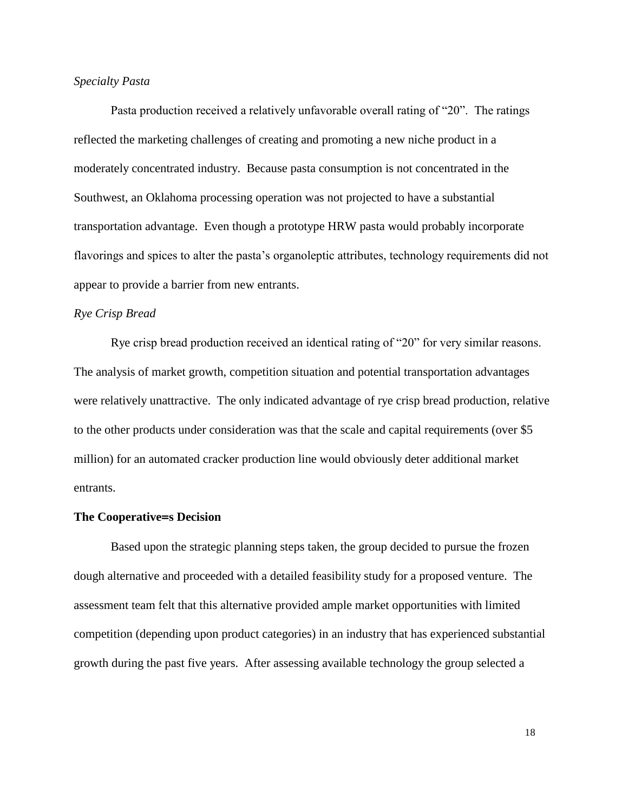### *Specialty Pasta*

Pasta production received a relatively unfavorable overall rating of "20". The ratings reflected the marketing challenges of creating and promoting a new niche product in a moderately concentrated industry. Because pasta consumption is not concentrated in the Southwest, an Oklahoma processing operation was not projected to have a substantial transportation advantage. Even though a prototype HRW pasta would probably incorporate flavorings and spices to alter the pasta's organoleptic attributes, technology requirements did not appear to provide a barrier from new entrants.

#### *Rye Crisp Bread*

Rye crisp bread production received an identical rating of "20" for very similar reasons. The analysis of market growth, competition situation and potential transportation advantages were relatively unattractive. The only indicated advantage of rye crisp bread production, relative to the other products under consideration was that the scale and capital requirements (over \$5 million) for an automated cracker production line would obviously deter additional market entrants.

#### **The Cooperative=s Decision**

Based upon the strategic planning steps taken, the group decided to pursue the frozen dough alternative and proceeded with a detailed feasibility study for a proposed venture. The assessment team felt that this alternative provided ample market opportunities with limited competition (depending upon product categories) in an industry that has experienced substantial growth during the past five years. After assessing available technology the group selected a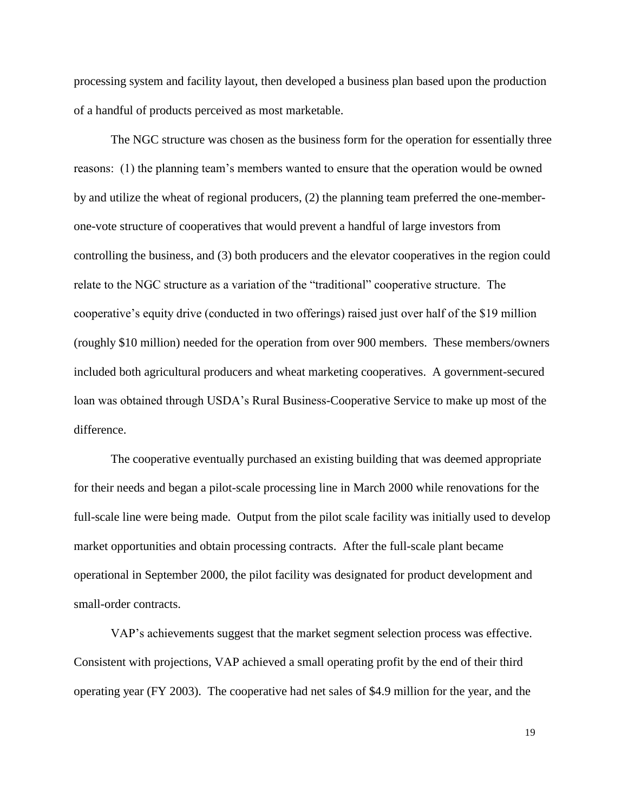processing system and facility layout, then developed a business plan based upon the production of a handful of products perceived as most marketable.

The NGC structure was chosen as the business form for the operation for essentially three reasons: (1) the planning team's members wanted to ensure that the operation would be owned by and utilize the wheat of regional producers, (2) the planning team preferred the one-memberone-vote structure of cooperatives that would prevent a handful of large investors from controlling the business, and (3) both producers and the elevator cooperatives in the region could relate to the NGC structure as a variation of the "traditional" cooperative structure. The cooperative's equity drive (conducted in two offerings) raised just over half of the \$19 million (roughly \$10 million) needed for the operation from over 900 members. These members/owners included both agricultural producers and wheat marketing cooperatives. A government-secured loan was obtained through USDA's Rural Business-Cooperative Service to make up most of the difference.

The cooperative eventually purchased an existing building that was deemed appropriate for their needs and began a pilot-scale processing line in March 2000 while renovations for the full-scale line were being made. Output from the pilot scale facility was initially used to develop market opportunities and obtain processing contracts. After the full-scale plant became operational in September 2000, the pilot facility was designated for product development and small-order contracts.

VAP's achievements suggest that the market segment selection process was effective. Consistent with projections, VAP achieved a small operating profit by the end of their third operating year (FY 2003). The cooperative had net sales of \$4.9 million for the year, and the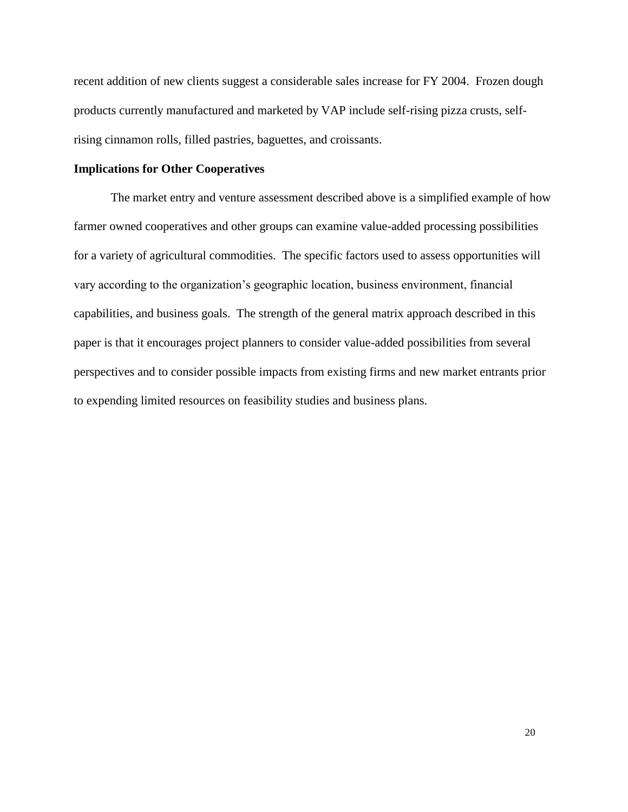recent addition of new clients suggest a considerable sales increase for FY 2004. Frozen dough products currently manufactured and marketed by VAP include self-rising pizza crusts, selfrising cinnamon rolls, filled pastries, baguettes, and croissants.

## **Implications for Other Cooperatives**

The market entry and venture assessment described above is a simplified example of how farmer owned cooperatives and other groups can examine value-added processing possibilities for a variety of agricultural commodities. The specific factors used to assess opportunities will vary according to the organization's geographic location, business environment, financial capabilities, and business goals. The strength of the general matrix approach described in this paper is that it encourages project planners to consider value-added possibilities from several perspectives and to consider possible impacts from existing firms and new market entrants prior to expending limited resources on feasibility studies and business plans.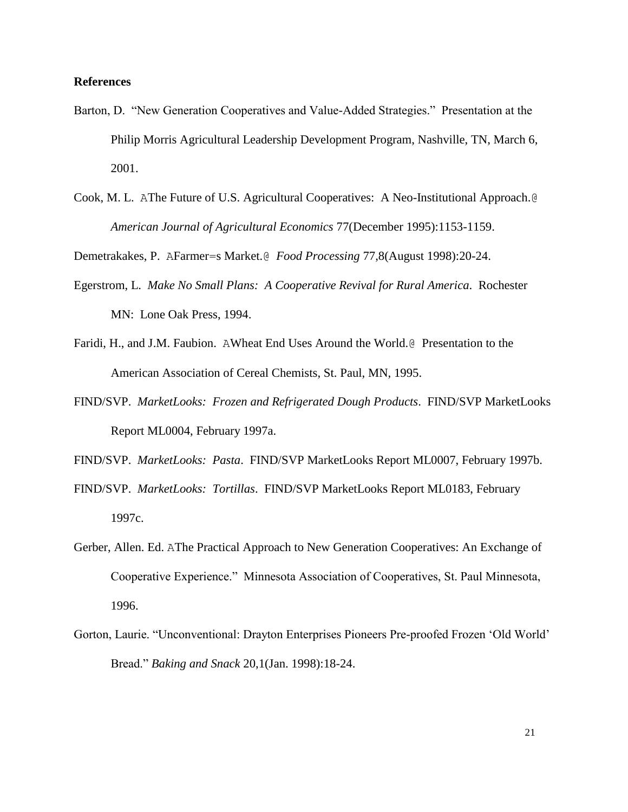### **References**

- Barton, D. "New Generation Cooperatives and Value-Added Strategies." Presentation at the Philip Morris Agricultural Leadership Development Program, Nashville, TN, March 6, 2001.
- Cook, M. L. AThe Future of U.S. Agricultural Cooperatives: A Neo-Institutional Approach.@ *American Journal of Agricultural Economics* 77(December 1995):1153-1159.

Demetrakakes, P. AFarmer=s Market.@ *Food Processing* 77,8(August 1998):20-24.

- Egerstrom, L. *Make No Small Plans: A Cooperative Revival for Rural America*. Rochester MN: Lone Oak Press, 1994.
- Faridi, H., and J.M. Faubion. AWheat End Uses Around the World.@ Presentation to the American Association of Cereal Chemists, St. Paul, MN, 1995.
- FIND/SVP. *MarketLooks: Frozen and Refrigerated Dough Products*. FIND/SVP MarketLooks Report ML0004, February 1997a.

FIND/SVP. *MarketLooks: Pasta*. FIND/SVP MarketLooks Report ML0007, February 1997b.

- FIND/SVP. *MarketLooks: Tortillas*. FIND/SVP MarketLooks Report ML0183, February 1997c.
- Gerber, Allen. Ed. AThe Practical Approach to New Generation Cooperatives: An Exchange of Cooperative Experience." Minnesota Association of Cooperatives, St. Paul Minnesota, 1996.
- Gorton, Laurie. "Unconventional: Drayton Enterprises Pioneers Pre-proofed Frozen 'Old World' Bread." *Baking and Snack* 20,1(Jan. 1998):18-24.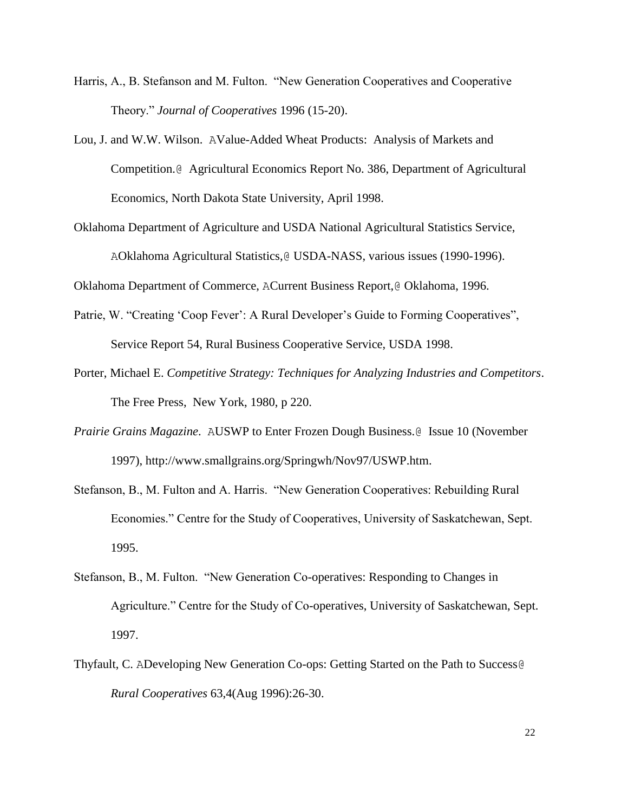- Harris, A., B. Stefanson and M. Fulton. "New Generation Cooperatives and Cooperative Theory." *Journal of Cooperatives* 1996 (15-20).
- Lou, J. and W.W. Wilson. AValue-Added Wheat Products: Analysis of Markets and Competition.@ Agricultural Economics Report No. 386, Department of Agricultural Economics, North Dakota State University, April 1998.
- Oklahoma Department of Agriculture and USDA National Agricultural Statistics Service, AOklahoma Agricultural Statistics,@ USDA-NASS, various issues (1990-1996).

Oklahoma Department of Commerce, ACurrent Business Report,@ Oklahoma, 1996.

- Patrie, W. "Creating 'Coop Fever': A Rural Developer's Guide to Forming Cooperatives", Service Report 54, Rural Business Cooperative Service, USDA 1998.
- Porter, Michael E. *Competitive Strategy: Techniques for Analyzing Industries and Competitors*. The Free Press, New York, 1980, p 220.
- *Prairie Grains Magazine*. AUSWP to Enter Frozen Dough Business.@ Issue 10 (November 1997), http://www.smallgrains.org/Springwh/Nov97/USWP.htm.
- Stefanson, B., M. Fulton and A. Harris. "New Generation Cooperatives: Rebuilding Rural Economies." Centre for the Study of Cooperatives, University of Saskatchewan, Sept. 1995.
- Stefanson, B., M. Fulton. "New Generation Co-operatives: Responding to Changes in Agriculture." Centre for the Study of Co-operatives, University of Saskatchewan, Sept. 1997.
- Thyfault, C. ADeveloping New Generation Co-ops: Getting Started on the Path to Success@ *Rural Cooperatives* 63,4(Aug 1996):26-30.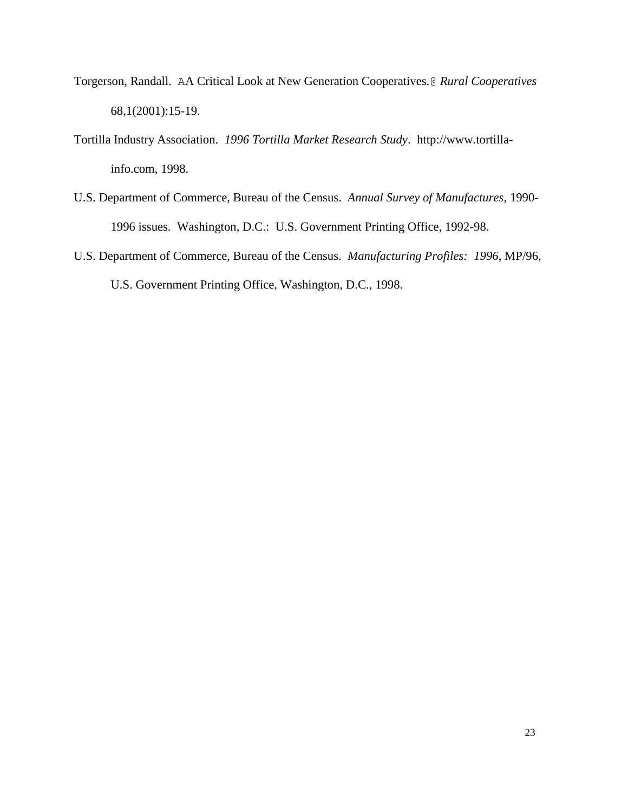- Torgerson, Randall. AA Critical Look at New Generation Cooperatives.@ *Rural Cooperatives* 68,1(2001):15-19.
- Tortilla Industry Association. *1996 Tortilla Market Research Study*. http://www.tortillainfo.com, 1998.
- U.S. Department of Commerce, Bureau of the Census. *Annual Survey of Manufactures*, 1990- 1996 issues. Washington, D.C.: U.S. Government Printing Office, 1992-98.
- U.S. Department of Commerce, Bureau of the Census. *Manufacturing Profiles: 1996*, MP/96, U.S. Government Printing Office, Washington, D.C., 1998.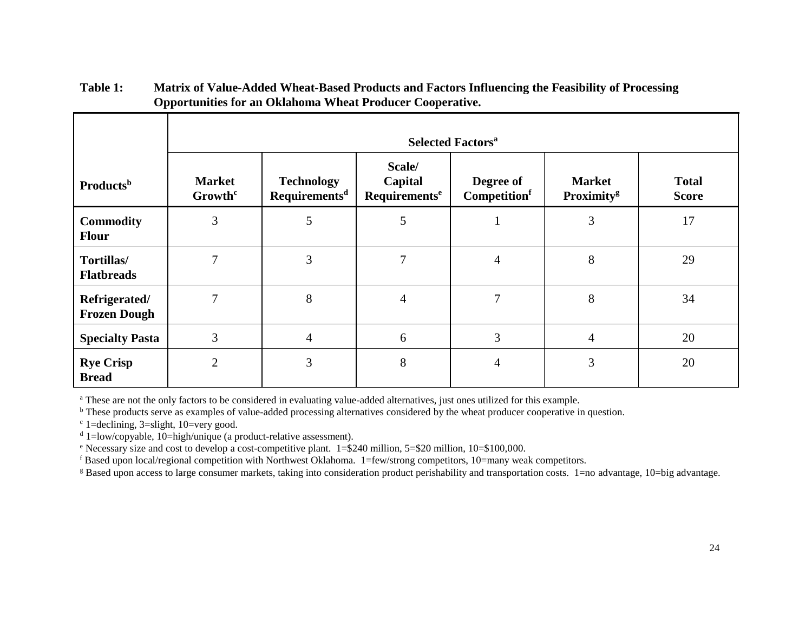|                                      | <b>Selected Factors<sup>a</sup></b>  |                                                |                                                |                           |                                         |                              |
|--------------------------------------|--------------------------------------|------------------------------------------------|------------------------------------------------|---------------------------|-----------------------------------------|------------------------------|
| <b>Products</b> <sup>b</sup>         | <b>Market</b><br>Growth <sup>c</sup> | <b>Technology</b><br>Requirements <sup>d</sup> | Scale/<br>Capital<br>Requirements <sup>e</sup> | Degree of<br>Competitionf | <b>Market</b><br>Proximity <sup>g</sup> | <b>Total</b><br><b>Score</b> |
| <b>Commodity</b><br><b>Flour</b>     | 3                                    | 5                                              | 5                                              |                           | 3                                       | 17                           |
| Tortillas/<br><b>Flatbreads</b>      | 7                                    | 3                                              | 7                                              | $\overline{4}$            | 8                                       | 29                           |
| Refrigerated/<br><b>Frozen Dough</b> | 7                                    | 8                                              | 4                                              | 7                         | 8                                       | 34                           |
| <b>Specialty Pasta</b>               | 3                                    | $\overline{4}$                                 | 6                                              | $\mathfrak{Z}$            | $\overline{4}$                          | 20                           |
| <b>Rye Crisp</b><br><b>Bread</b>     | $\overline{2}$                       | 3                                              | 8                                              | $\overline{4}$            | 3                                       | 20                           |

| Table 1: | Matrix of Value-Added Wheat-Based Products and Factors Influencing the Feasibility of Processing |
|----------|--------------------------------------------------------------------------------------------------|
|          | <b>Opportunities for an Oklahoma Wheat Producer Cooperative.</b>                                 |

<sup>a</sup> These are not the only factors to be considered in evaluating value-added alternatives, just ones utilized for this example.

<sup>b</sup> These products serve as examples of value-added processing alternatives considered by the wheat producer cooperative in question.

 $\degree$  1=declining, 3=slight, 10=very good.

 $d$  1=low/copyable, 10=high/unique (a product-relative assessment).

<sup>e</sup> Necessary size and cost to develop a cost-competitive plant. 1=\$240 million, 5=\$20 million, 10=\$100,000.

<sup>f</sup> Based upon local/regional competition with Northwest Oklahoma. 1=few/strong competitors, 10=many weak competitors.

<sup>g</sup> Based upon access to large consumer markets, taking into consideration product perishability and transportation costs. 1=no advantage, 10=big advantage.